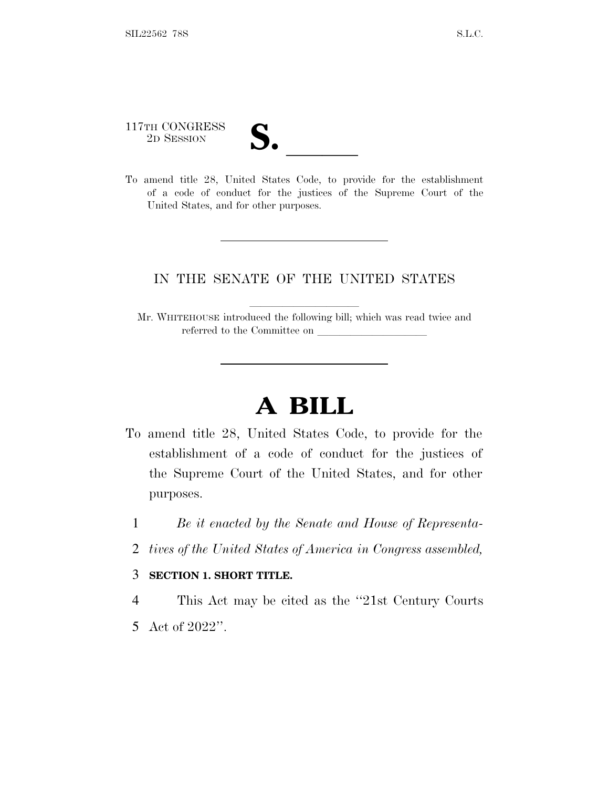117TH CONGRESS

117TH CONGRESS<br>
2D SESSION<br>
To amend title 28, United States Code, to provide for the establishment of a code of conduct for the justices of the Supreme Court of the United States, and for other purposes.

# IN THE SENATE OF THE UNITED STATES

Mr. WHITEHOUSE introduced the following bill; which was read twice and referred to the Committee on

# **A BILL**

- To amend title 28, United States Code, to provide for the establishment of a code of conduct for the justices of the Supreme Court of the United States, and for other purposes.
	- 1 *Be it enacted by the Senate and House of Representa-*
	- 2 *tives of the United States of America in Congress assembled,*

#### 3 **SECTION 1. SHORT TITLE.**

4 This Act may be cited as the ''21st Century Courts 5 Act of 2022''.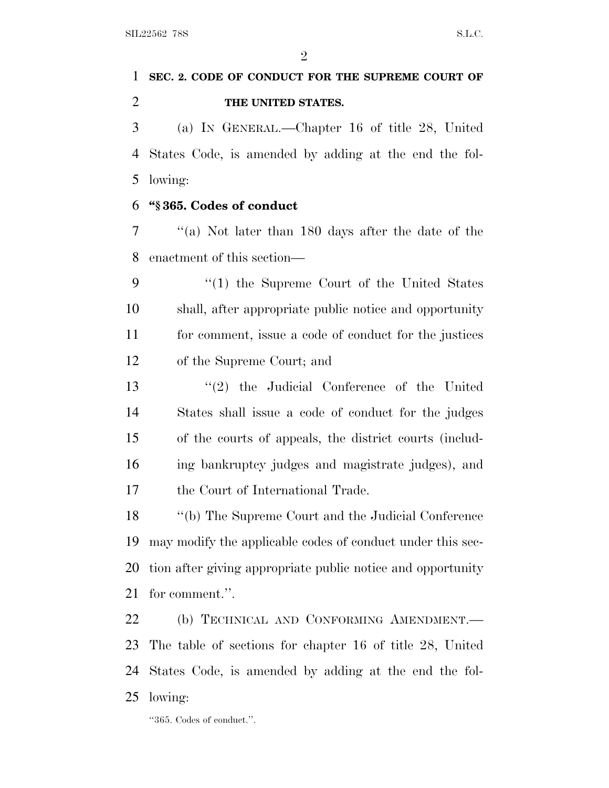$\mathfrak{D}$ 

# **SEC. 2. CODE OF CONDUCT FOR THE SUPREME COURT OF THE UNITED STATES.**

 (a) I<sup>N</sup> GENERAL.—Chapter 16 of title 28, United States Code, is amended by adding at the end the fol-lowing:

#### **''§ 365. Codes of conduct**

 ''(a) Not later than 180 days after the date of the enactment of this section—

 ''(1) the Supreme Court of the United States shall, after appropriate public notice and opportunity for comment, issue a code of conduct for the justices of the Supreme Court; and

 ''(2) the Judicial Conference of the United States shall issue a code of conduct for the judges of the courts of appeals, the district courts (includ- ing bankruptcy judges and magistrate judges), and the Court of International Trade.

 ''(b) The Supreme Court and the Judicial Conference may modify the applicable codes of conduct under this sec- tion after giving appropriate public notice and opportunity for comment.''.

22 (b) TECHNICAL AND CONFORMING AMENDMENT. The table of sections for chapter 16 of title 28, United States Code, is amended by adding at the end the fol-lowing:

''365. Codes of conduct.''.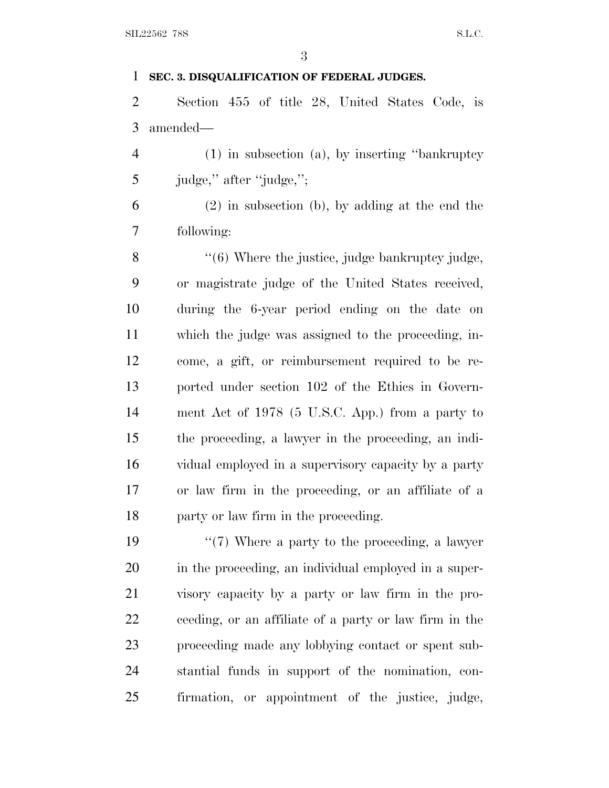#### **SEC. 3. DISQUALIFICATION OF FEDERAL JUDGES.**

 Section 455 of title 28, United States Code, is amended—

 (1) in subsection (a), by inserting ''bankruptcy judge,'' after ''judge,'';

 (2) in subsection (b), by adding at the end the following:

8 "(6) Where the justice, judge bankruptcy judge, or magistrate judge of the United States received, during the 6-year period ending on the date on which the judge was assigned to the proceeding, in- come, a gift, or reimbursement required to be re- ported under section 102 of the Ethics in Govern- ment Act of 1978 (5 U.S.C. App.) from a party to the proceeding, a lawyer in the proceeding, an indi- vidual employed in a supervisory capacity by a party or law firm in the proceeding, or an affiliate of a party or law firm in the proceeding.

 ''(7) Where a party to the proceeding, a lawyer in the proceeding, an individual employed in a super- visory capacity by a party or law firm in the pro- ceeding, or an affiliate of a party or law firm in the proceeding made any lobbying contact or spent sub- stantial funds in support of the nomination, con-firmation, or appointment of the justice, judge,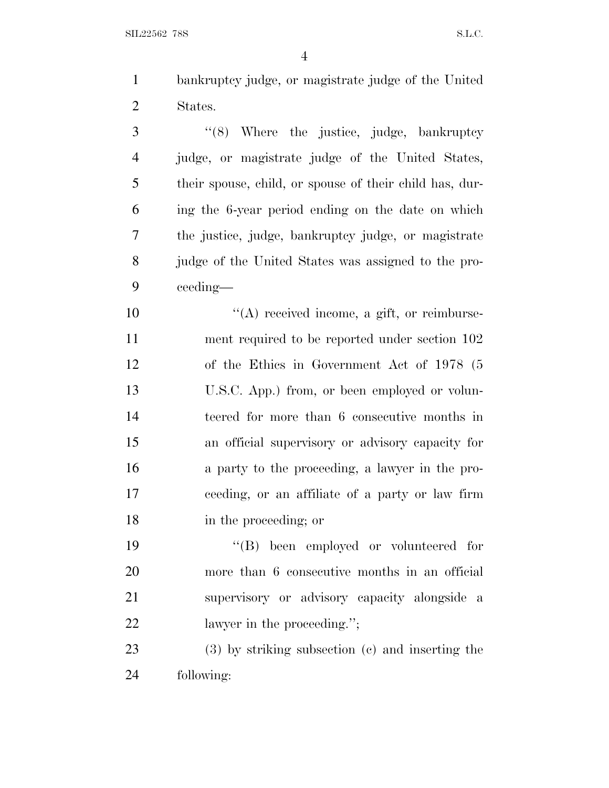$SLL22562$  78S S.L.C.

 bankruptcy judge, or magistrate judge of the United States.

3 "(8) Where the justice, judge, bankruptcy judge, or magistrate judge of the United States, their spouse, child, or spouse of their child has, dur- ing the 6-year period ending on the date on which the justice, judge, bankruptcy judge, or magistrate judge of the United States was assigned to the pro-ceeding—

 $\langle (A) \rangle$  received income, a gift, or reimburse- ment required to be reported under section 102 of the Ethics in Government Act of 1978 (5 U.S.C. App.) from, or been employed or volun- teered for more than 6 consecutive months in an official supervisory or advisory capacity for a party to the proceeding, a lawyer in the pro- ceeding, or an affiliate of a party or law firm in the proceeding; or

 ''(B) been employed or volunteered for more than 6 consecutive months in an official supervisory or advisory capacity alongside a 22 lawyer in the proceeding.";

 (3) by striking subsection (c) and inserting the following: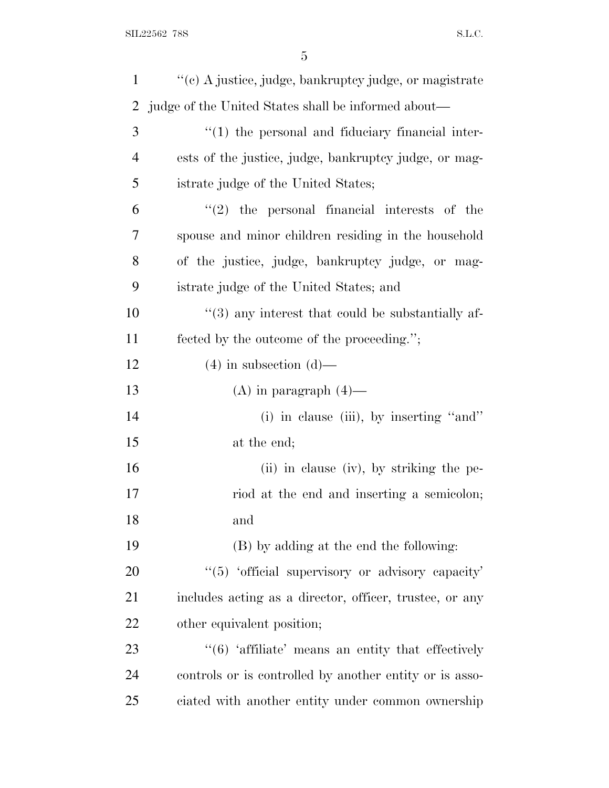| $\mathbf{1}$ | "(c) A justice, judge, bankruptcy judge, or magistrate               |
|--------------|----------------------------------------------------------------------|
| 2            | judge of the United States shall be informed about—                  |
| 3            | $"(1)$ the personal and fiduciary financial inter-                   |
| 4            | ests of the justice, judge, bankruptcy judge, or mag-                |
| 5            | istrate judge of the United States;                                  |
| 6            | $(2)$ the personal financial interests of the                        |
| 7            | spouse and minor children residing in the household                  |
| 8            | of the justice, judge, bankruptcy judge, or mag-                     |
| 9            | istrate judge of the United States; and                              |
| 10           | $\lq(3)$ any interest that could be substantially af-                |
| 11           | fected by the outcome of the proceeding.";                           |
| 12           | $(4)$ in subsection $(d)$ —                                          |
| 13           | $(A)$ in paragraph $(4)$ —                                           |
| 14           | (i) in clause (iii), by inserting "and"                              |
| 15           | at the end;                                                          |
| 16           | (ii) in clause (iv), by striking the pe-                             |
| 17           | riod at the end and inserting a semicolon;                           |
| 18           | and                                                                  |
| 19           | (B) by adding at the end the following:                              |
| 20           | "(5) 'official supervisory or advisory capacity'                     |
| 21           | includes acting as a director, officer, trustee, or any              |
| 22           | other equivalent position;                                           |
| 23           | $\cdot\cdot$ (6) $\cdot$ affiliate' means an entity that effectively |
| 24           | controls or is controlled by another entity or is asso-              |
| 25           | ciated with another entity under common ownership                    |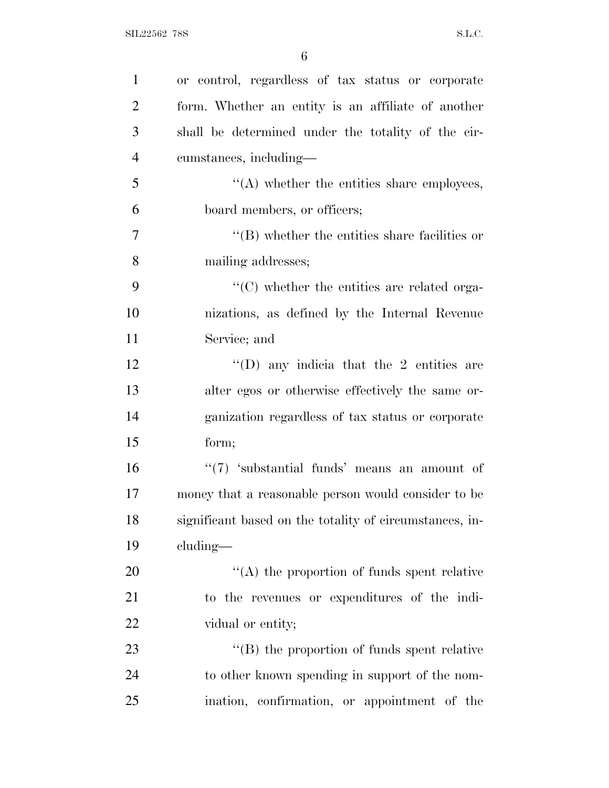| $\mathbf{1}$   | or control, regardless of tax status or corporate       |
|----------------|---------------------------------------------------------|
| $\overline{2}$ | form. Whether an entity is an affiliate of another      |
| 3              | shall be determined under the totality of the cir-      |
| $\overline{4}$ | cumstances, including—                                  |
| 5              | "(A) whether the entities share employees,              |
| 6              | board members, or officers;                             |
| $\overline{7}$ | $\lq\lq$ ) whether the entities share facilities or     |
| 8              | mailing addresses;                                      |
| 9              | $\cdot$ (C) whether the entities are related orga-      |
| 10             | nizations, as defined by the Internal Revenue           |
| 11             | Service; and                                            |
| 12             | $\lq\lq$ (D) any indicia that the 2 entities are        |
| 13             | alter egos or otherwise effectively the same or-        |
| 14             | ganization regardless of tax status or corporate        |
| 15             | form;                                                   |
| 16             | $\lq(7)$ 'substantial funds' means an amount of         |
| 17             | money that a reasonable person would consider to be     |
| 18             | significant based on the totality of circumstances, in- |
| 19             | $cluding$ —                                             |
| 20             | $\cdot$ (A) the proportion of funds spent relative      |
| 21             | to the revenues or expenditures of the indi-            |
| 22             | vidual or entity;                                       |
| 23             | $\lq\lq$ (B) the proportion of funds spent relative     |
| 24             | to other known spending in support of the nom-          |
| 25             | ination, confirmation, or appointment of the            |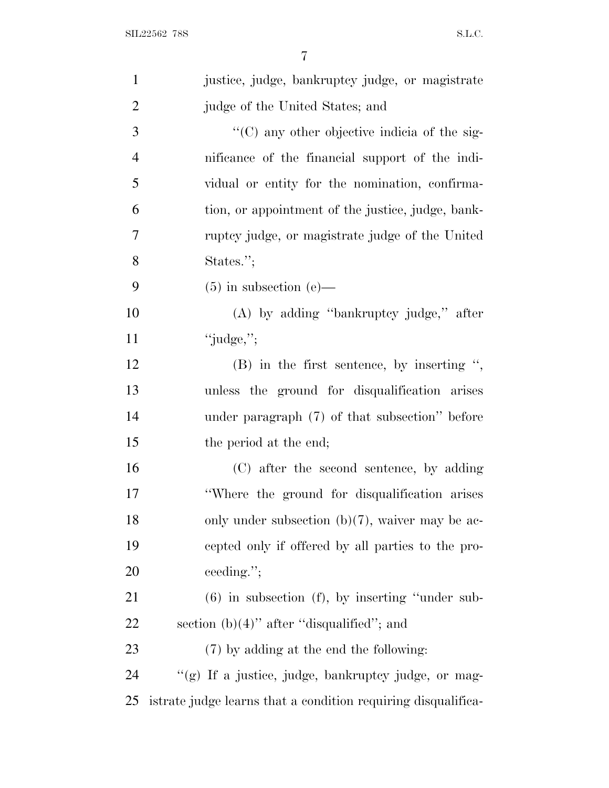| $\mathbf{1}$   | justice, judge, bankruptcy judge, or magistrate               |
|----------------|---------------------------------------------------------------|
| $\overline{2}$ | judge of the United States; and                               |
| 3              | "(C) any other objective indicia of the sig-                  |
| $\overline{4}$ | nificance of the financial support of the indi-               |
| 5              | vidual or entity for the nomination, confirma-                |
| 6              | tion, or appointment of the justice, judge, bank-             |
| 7              | ruptcy judge, or magistrate judge of the United               |
| 8              | States.";                                                     |
| 9              | $(5)$ in subsection $(e)$ —                                   |
| 10             | $(A)$ by adding "bankruptcy judge," after                     |
| 11             | "judge,";                                                     |
| 12             | $(B)$ in the first sentence, by inserting ",                  |
| 13             | unless the ground for disqualification arises                 |
| 14             | under paragraph (7) of that subsection" before                |
| 15             | the period at the end;                                        |
| 16             | (C) after the second sentence, by adding                      |
| 17             | "Where the ground for disqualification arises"                |
| 18             | only under subsection $(b)(7)$ , waiver may be ac-            |
| 19             | cepted only if offered by all parties to the pro-             |
| 20             | ceeding.";                                                    |
| 21             | $(6)$ in subsection $(f)$ , by inserting "under sub-          |
| 22             | section $(b)(4)$ " after "disqualified"; and                  |
| 23             | (7) by adding at the end the following:                       |
| 24             | "(g) If a justice, judge, bankruptcy judge, or mag-           |
| 25             | istrate judge learns that a condition requiring disqualifica- |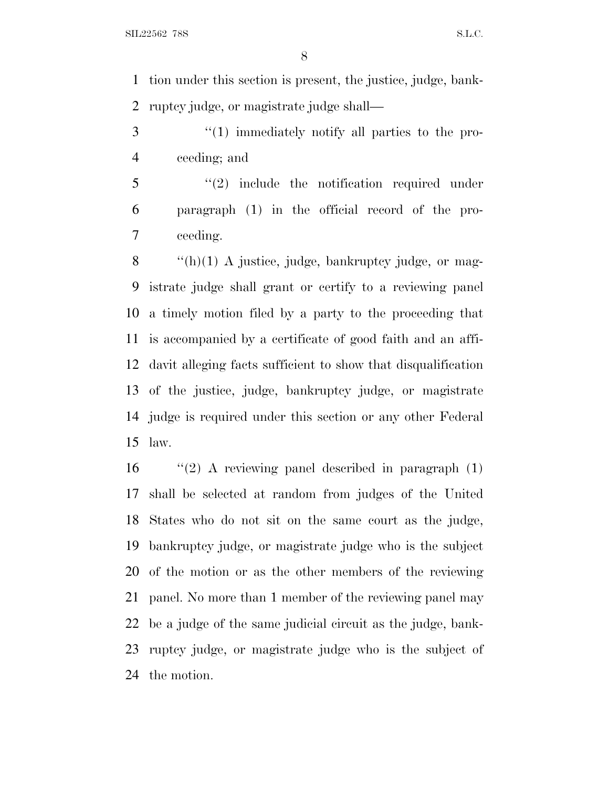tion under this section is present, the justice, judge, bank-ruptcy judge, or magistrate judge shall—

3 "(1) immediately notify all parties to the pro-ceeding; and

5 "(2) include the notification required under paragraph (1) in the official record of the pro-ceeding.

 $\langle f(h)(1) \rangle$  A justice, judge, bankruptcy judge, or mag- istrate judge shall grant or certify to a reviewing panel a timely motion filed by a party to the proceeding that is accompanied by a certificate of good faith and an affi- davit alleging facts sufficient to show that disqualification of the justice, judge, bankruptcy judge, or magistrate judge is required under this section or any other Federal law.

 "(2) A reviewing panel described in paragraph  $(1)$  shall be selected at random from judges of the United States who do not sit on the same court as the judge, bankruptcy judge, or magistrate judge who is the subject of the motion or as the other members of the reviewing panel. No more than 1 member of the reviewing panel may be a judge of the same judicial circuit as the judge, bank- ruptcy judge, or magistrate judge who is the subject of the motion.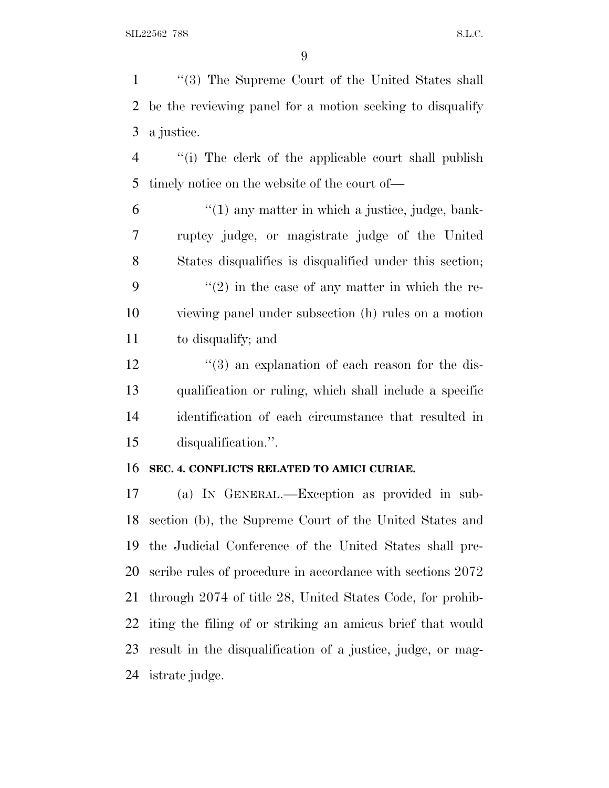''(3) The Supreme Court of the United States shall be the reviewing panel for a motion seeking to disqualify a justice.

 ''(i) The clerk of the applicable court shall publish timely notice on the website of the court of—

 "(1) any matter in which a justice, judge, bank- ruptcy judge, or magistrate judge of the United States disqualifies is disqualified under this section;  $\langle (2) \rangle$  in the case of any matter in which the re- viewing panel under subsection (h) rules on a motion to disqualify; and

12 ''(3) an explanation of each reason for the dis- qualification or ruling, which shall include a specific identification of each circumstance that resulted in disqualification.''.

#### **SEC. 4. CONFLICTS RELATED TO AMICI CURIAE.**

 (a) I<sup>N</sup> GENERAL.—Exception as provided in sub- section (b), the Supreme Court of the United States and the Judicial Conference of the United States shall pre- scribe rules of procedure in accordance with sections 2072 through 2074 of title 28, United States Code, for prohib- iting the filing of or striking an amicus brief that would result in the disqualification of a justice, judge, or mag-istrate judge.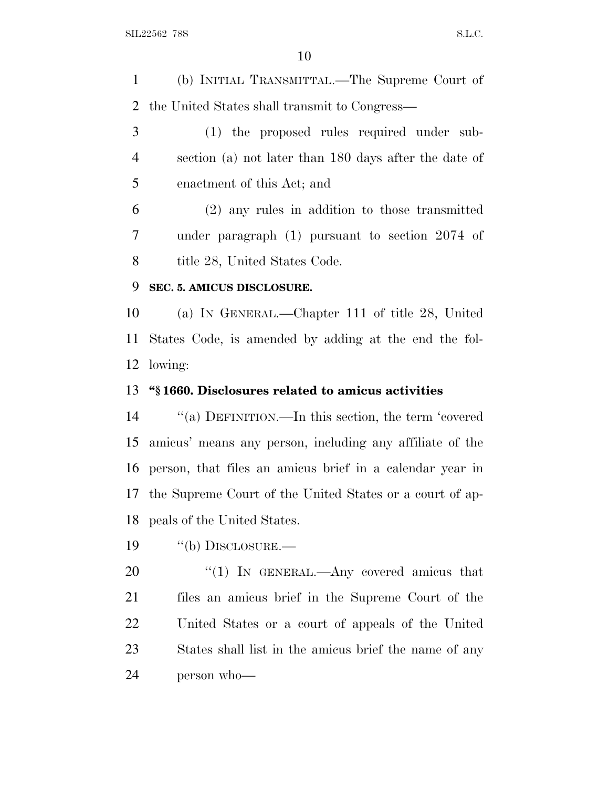(b) INITIAL TRANSMITTAL.—The Supreme Court of the United States shall transmit to Congress—

 (1) the proposed rules required under sub- section (a) not later than 180 days after the date of enactment of this Act; and

 (2) any rules in addition to those transmitted under paragraph (1) pursuant to section 2074 of 8 title 28, United States Code.

#### **SEC. 5. AMICUS DISCLOSURE.**

 (a) I<sup>N</sup> GENERAL.—Chapter 111 of title 28, United States Code, is amended by adding at the end the fol-lowing:

#### **''§ 1660. Disclosures related to amicus activities**

 ''(a) DEFINITION.—In this section, the term 'covered amicus' means any person, including any affiliate of the person, that files an amicus brief in a calendar year in the Supreme Court of the United States or a court of ap-peals of the United States.

19 "(b) DISCLOSURE.—

20 "(1) In GENERAL.—Any covered amicus that files an amicus brief in the Supreme Court of the United States or a court of appeals of the United States shall list in the amicus brief the name of any person who—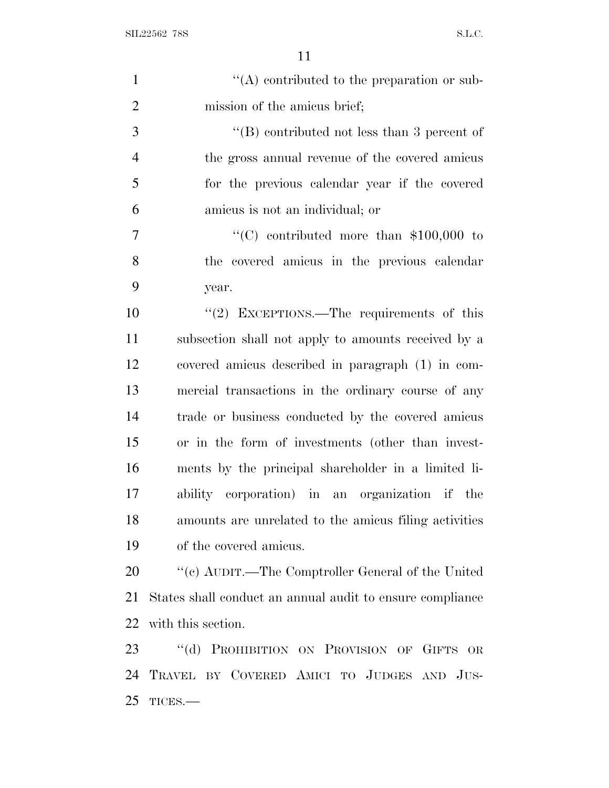| $\mathbf{1}$   | $\lq\lq$ contributed to the preparation or sub-           |
|----------------|-----------------------------------------------------------|
| $\overline{2}$ | mission of the amicus brief;                              |
| 3              | $\lq\lq$ contributed not less than 3 percent of           |
| $\overline{4}$ | the gross annual revenue of the covered amicus            |
| 5              | for the previous calendar year if the covered             |
| 6              | amicus is not an individual; or                           |
| $\overline{7}$ | "(C) contributed more than $$100,000$ to                  |
| 8              | the covered amicus in the previous calendar               |
| 9              | year.                                                     |
| 10             | " $(2)$ EXCEPTIONS.—The requirements of this              |
| 11             | subsection shall not apply to amounts received by a       |
| 12             | covered amicus described in paragraph (1) in com-         |
| 13             | mercial transactions in the ordinary course of any        |
| 14             | trade or business conducted by the covered amicus         |
| 15             | or in the form of investments (other than invest-         |
| 16             | ments by the principal shareholder in a limited li-       |
| 17             | ability corporation) in an organization if the            |
| 18             | amounts are unrelated to the amicus filing activities     |
| 19             | of the covered amicus.                                    |
| 20             | "(c) AUDIT.—The Comptroller General of the United         |
| 21             | States shall conduct an annual audit to ensure compliance |
| 22             | with this section.                                        |
| 23             | $\lq\lq (d)$<br>PROHIBITION ON PROVISION OF GIFTS OR      |
| 24             | TRAVEL BY COVERED AMICI TO JUDGES AND JUS-                |

TICES.—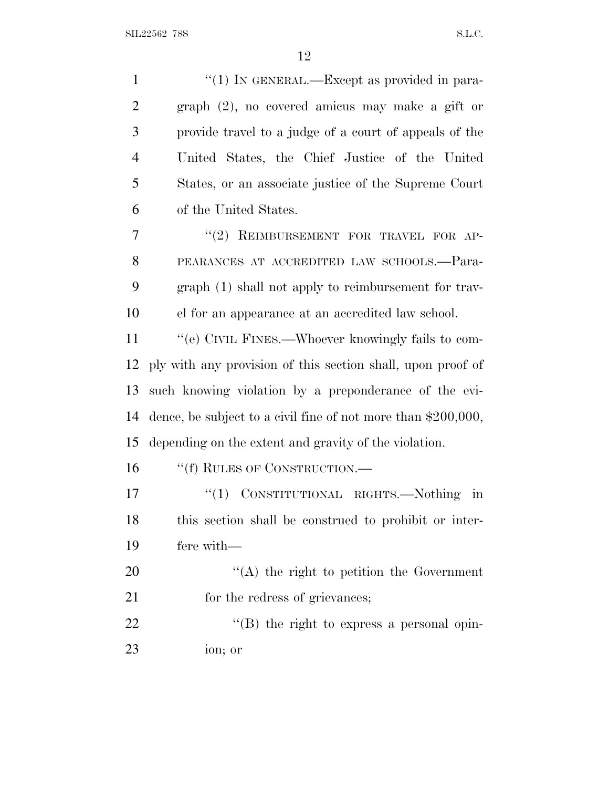| $\mathbf{1}$   | "(1) IN GENERAL.—Except as provided in para-                    |
|----------------|-----------------------------------------------------------------|
| $\overline{2}$ | graph (2), no covered amicus may make a gift or                 |
| 3              | provide travel to a judge of a court of appeals of the          |
| $\overline{4}$ | United States, the Chief Justice of the United                  |
| 5              | States, or an associate justice of the Supreme Court            |
| 6              | of the United States.                                           |
| 7              | "(2) REIMBURSEMENT FOR TRAVEL FOR AP-                           |
| 8              | PEARANCES AT ACCREDITED LAW SCHOOLS.-Para-                      |
| 9              | graph (1) shall not apply to reimbursement for trav-            |
| 10             | el for an appearance at an accredited law school.               |
| 11             | "(e) CIVIL FINES.—Whoever knowingly fails to com-               |
| 12             | ply with any provision of this section shall, upon proof of     |
| 13             | such knowing violation by a preponderance of the evi-           |
| 14             | dence, be subject to a civil fine of not more than $$200,000$ , |
| 15             | depending on the extent and gravity of the violation.           |
| 16             | "(f) RULES OF CONSTRUCTION.—                                    |
| 17             | "(1) CONSTITUTIONAL RIGHTS.—Nothing<br>$\operatorname{in}$      |
| 18             | this section shall be construed to prohibit or inter-           |
| 19             | fere with-                                                      |
| 20             | "(A) the right to petition the Government                       |
| 21             | for the redress of grievances;                                  |
| 22             | $\lq\lq (B)$ the right to express a personal opin-              |
| 23             | ion; or                                                         |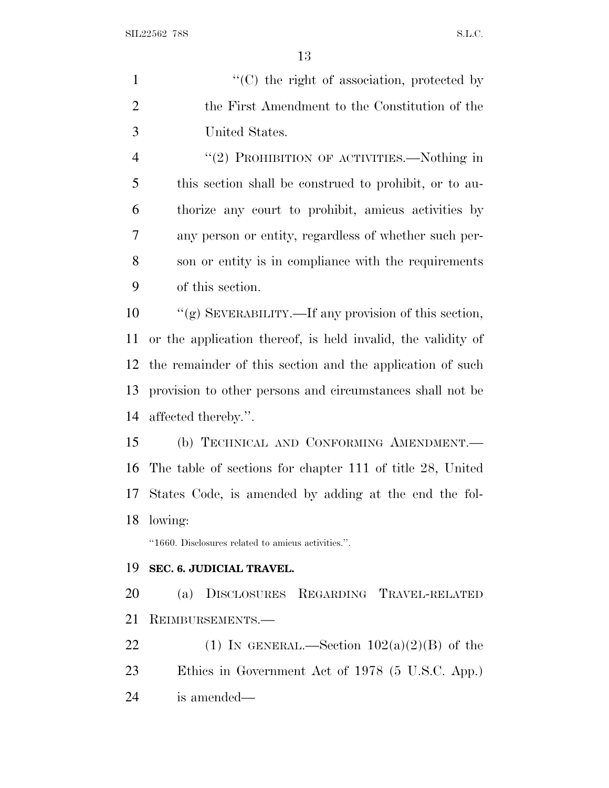| $\mathbf{1}$   | "(C) the right of association, protected by                  |
|----------------|--------------------------------------------------------------|
| $\overline{2}$ | the First Amendment to the Constitution of the               |
| 3              | United States.                                               |
| $\overline{4}$ | "(2) PROHIBITION OF ACTIVITIES.—Nothing in                   |
| 5              | this section shall be construed to prohibit, or to au-       |
| 6              | thorize any court to prohibit, amicus activities by          |
| 7              | any person or entity, regardless of whether such per-        |
| 8              | son or entity is in compliance with the requirements         |
| 9              | of this section.                                             |
| 10             | "(g) SEVERABILITY.—If any provision of this section,         |
| 11             | or the application thereof, is held invalid, the validity of |
| 12             | the remainder of this section and the application of such    |
| 13             | provision to other persons and circumstances shall not be    |
| 14             | affected thereby.".                                          |
| 15             | (b) TECHNICAL AND CONFORMING AMENDMENT.                      |
| 16             | The table of sections for chapter 111 of title 28, United    |
| 17             | States Code, is amended by adding at the end the fol-        |
| 18             | lowing:                                                      |
|                | "1660. Disclosures related to amicus activities.".           |
| 19             | SEC. 6. JUDICIAL TRAVEL.                                     |
| 20             | DISCLOSURES REGARDING TRAVEL-RELATED<br>(a)                  |
| 21             | REIMBURSEMENTS.                                              |
| 22             | (1) IN GENERAL.—Section $102(a)(2)(B)$ of the                |
| 23             | Ethics in Government Act of 1978 (5 U.S.C. App.)             |

is amended—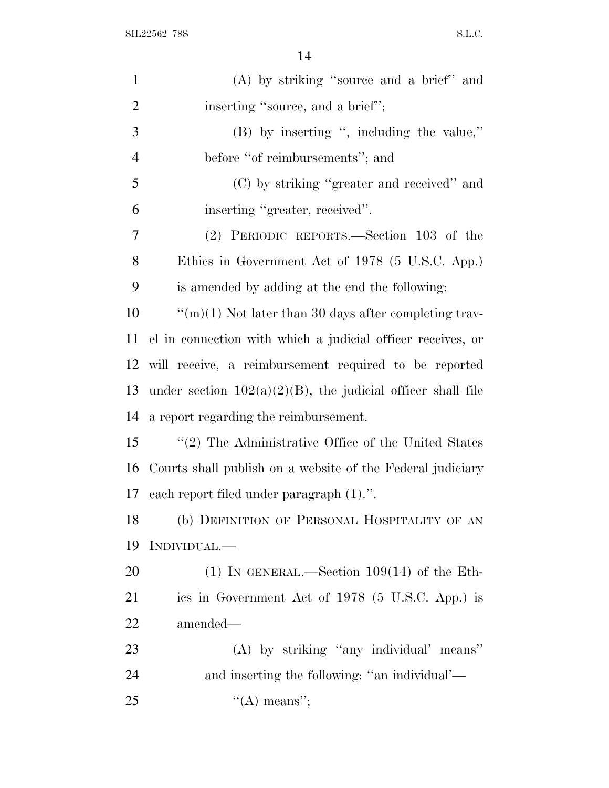SIL22562 78S S.L.C.

| $\mathbf{1}$   | (A) by striking "source and a brief" and                       |
|----------------|----------------------------------------------------------------|
| $\overline{2}$ | inserting "source, and a brief";                               |
| 3              | $(B)$ by inserting ", including the value,"                    |
| $\overline{4}$ | before "of reimbursements"; and                                |
| 5              | (C) by striking "greater and received" and                     |
| 6              | inserting "greater, received".                                 |
| 7              | (2) PERIODIC REPORTS.—Section 103 of the                       |
| 8              | Ethics in Government Act of 1978 (5 U.S.C. App.)               |
| 9              | is amended by adding at the end the following:                 |
| 10             | " $(m)(1)$ Not later than 30 days after completing trav-       |
| 11             | el in connection with which a judicial officer receives, or    |
| 12             | will receive, a reimbursement required to be reported          |
| 13             | under section $102(a)(2)(B)$ , the judicial officer shall file |
| 14             | a report regarding the reimbursement.                          |
| 15             | $\lq(2)$ The Administrative Office of the United States        |
|                | 16 Courts shall publish on a website of the Federal judiciary  |
|                | 17 each report filed under paragraph (1).".                    |
| 18             | (b) DEFINITION OF PERSONAL HOSPITALITY OF AN                   |
| 19             | INDIVIDUAL.—                                                   |
| 20             | (1) IN GENERAL.—Section $109(14)$ of the Eth-                  |
| 21             | ics in Government Act of 1978 (5 U.S.C. App.) is               |
| 22             | amended—                                                       |
| 23             | (A) by striking "any individual" means"                        |
| 24             | and inserting the following: "an individual'—                  |
| 25             | $\lq\lq$ means";                                               |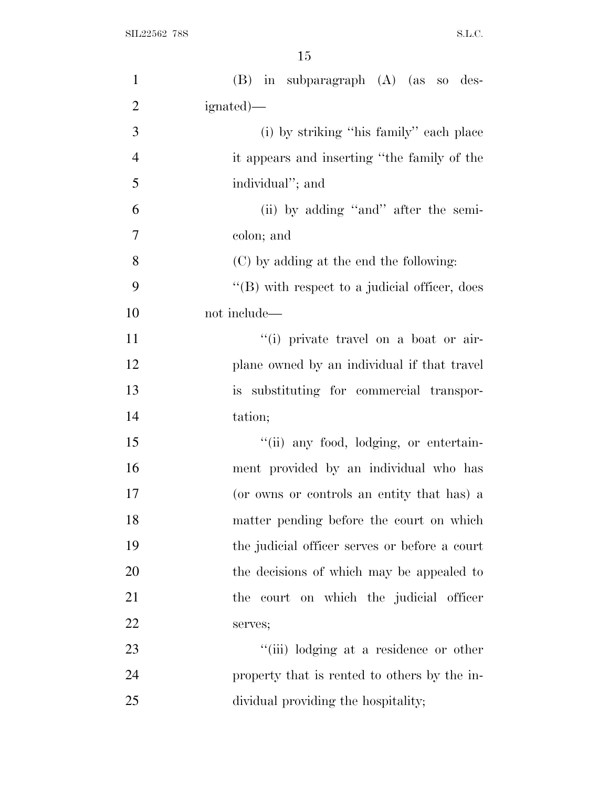| $\mathbf{1}$   | $(B)$ in subparagraph $(A)$ (as so des-           |
|----------------|---------------------------------------------------|
| $\overline{2}$ | ignated)—                                         |
| 3              | (i) by striking "his family" each place           |
| $\overline{4}$ | it appears and inserting "the family of the       |
| 5              | individual"; and                                  |
| 6              | (ii) by adding "and" after the semi-              |
| 7              | colon; and                                        |
| 8              |                                                   |
|                | (C) by adding at the end the following:           |
| 9              | $\lq\lq$ with respect to a judicial officer, does |
| 10             | not include—                                      |
| 11             | "(i) private travel on a boat or air-             |
| 12             | plane owned by an individual if that travel       |
| 13             | is substituting for commercial transpor-          |
| 14             | tation;                                           |
| 15             | "(ii) any food, lodging, or entertain-            |
| 16             | ment provided by an individual who has            |
| 17             | (or owns or controls an entity that has) a        |
| 18             | matter pending before the court on which          |
| 19             | the judicial officer serves or before a court     |
| 20             | the decisions of which may be appealed to         |
| 21             | the court on which the judicial officer           |
| 22             | serves;                                           |
| 23             | "(iii) lodging at a residence or other            |
| 24             | property that is rented to others by the in-      |
| 25             | dividual providing the hospitality;               |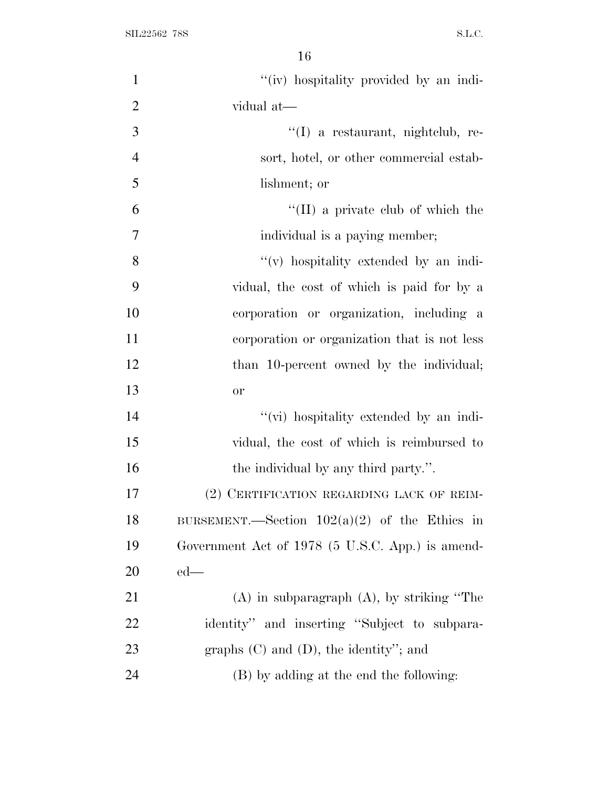| $\mathbf{1}$   | "(iv) hospitality provided by an indi-           |
|----------------|--------------------------------------------------|
| $\overline{2}$ | vidual at-                                       |
| 3              | "(I) a restaurant, nightclub, re-                |
| $\overline{4}$ | sort, hotel, or other commercial estab-          |
| 5              | lishment; or                                     |
| 6              | $\lq\lq$ (II) a private club of which the        |
| 7              | individual is a paying member;                   |
| 8              | "(v) hospitality extended by an indi-            |
| 9              | vidual, the cost of which is paid for by a       |
| 10             | corporation or organization, including a         |
| 11             | corporation or organization that is not less     |
| 12             | than 10-percent owned by the individual;         |
| 13             | <b>or</b>                                        |
| 14             | "(vi) hospitality extended by an indi-           |
| 15             | vidual, the cost of which is reimbursed to       |
| 16             | the individual by any third party.".             |
| 17             | (2) CERTIFICATION REGARDING LACK OF REIM-        |
| 18             | BURSEMENT.—Section $102(a)(2)$ of the Ethics in  |
| 19             | Government Act of 1978 (5 U.S.C. App.) is amend- |
| 20             | $ed$ —                                           |
| 21             | $(A)$ in subparagraph $(A)$ , by striking "The   |
| 22             | identity" and inserting "Subject to subpara-     |
| 23             | graphs $(C)$ and $(D)$ , the identity"; and      |
| 24             | (B) by adding at the end the following:          |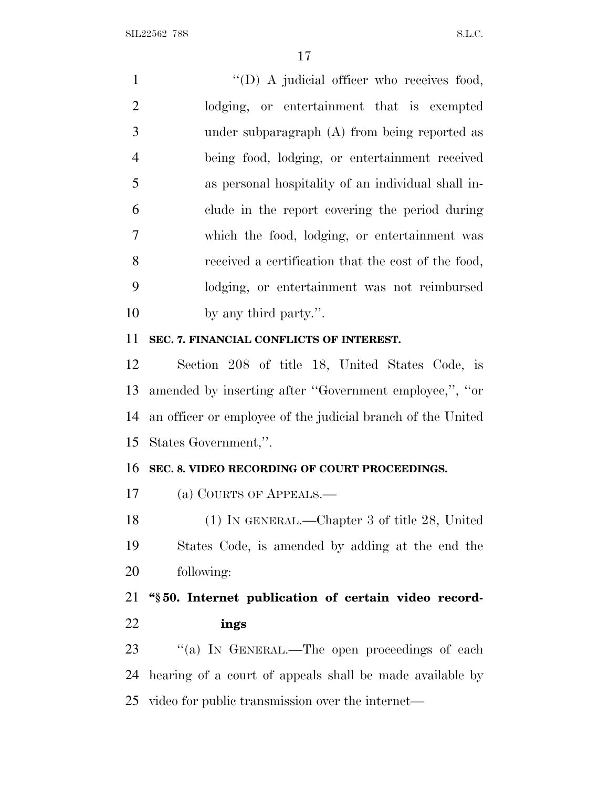$\text{``(D) A judicial officer who receives food,}$  lodging, or entertainment that is exempted under subparagraph (A) from being reported as being food, lodging, or entertainment received as personal hospitality of an individual shall in- clude in the report covering the period during which the food, lodging, or entertainment was received a certification that the cost of the food, lodging, or entertainment was not reimbursed by any third party.''.

# **SEC. 7. FINANCIAL CONFLICTS OF INTEREST.**

 Section 208 of title 18, United States Code, is amended by inserting after ''Government employee,'', ''or an officer or employee of the judicial branch of the United States Government,''.

# **SEC. 8. VIDEO RECORDING OF COURT PROCEEDINGS.**

(a) COURTS OF APPEALS.—

 (1) IN GENERAL.—Chapter 3 of title 28, United States Code, is amended by adding at the end the following:

 **''§ 50. Internet publication of certain video record-ings**

23 "(a) IN GENERAL.—The open proceedings of each hearing of a court of appeals shall be made available by video for public transmission over the internet—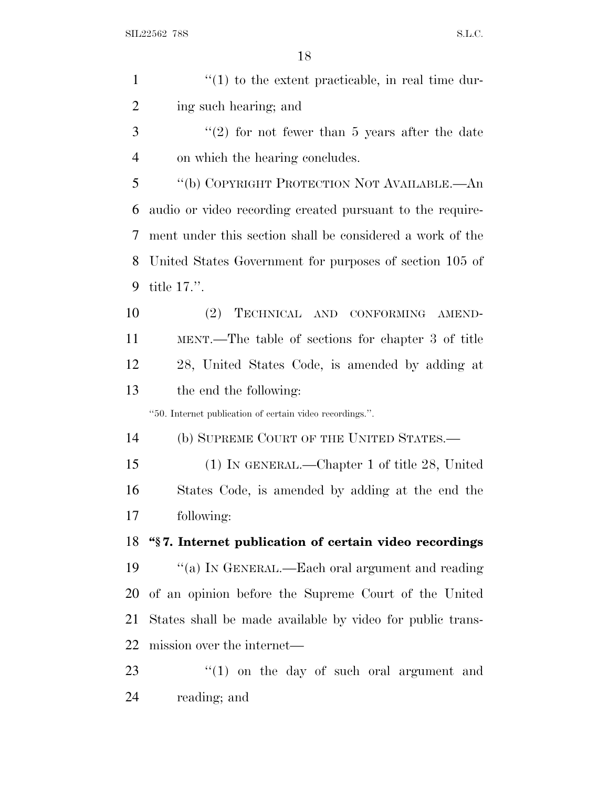| $\mathbf{1}$   | $f(1)$ to the extent practicable, in real time dur-       |
|----------------|-----------------------------------------------------------|
| 2              | ing such hearing; and                                     |
| 3              | $\lq(2)$ for not fewer than 5 years after the date        |
| $\overline{4}$ | on which the hearing concludes.                           |
| 5              | "(b) COPYRIGHT PROTECTION NOT AVAILABLE.—An               |
| 6              | audio or video recording created pursuant to the require- |
| 7              | ment under this section shall be considered a work of the |
| 8              | United States Government for purposes of section 105 of   |
| 9              | title $17$ .".                                            |
| 10             | (2)<br>TECHNICAL AND CONFORMING<br>AMEND-                 |
| 11             | MENT.—The table of sections for chapter 3 of title        |
| 12             | 28, United States Code, is amended by adding at           |
| 13             | the end the following:                                    |
|                | "50. Internet publication of certain video recordings.".  |
| 14             | (b) SUPREME COURT OF THE UNITED STATES.—                  |
| 15             | (1) IN GENERAL.—Chapter 1 of title 28, United             |
| 16             | States Code, is amended by adding at the end the          |
| 17             | following:                                                |
| 18             | "§7. Internet publication of certain video recordings     |
| 19             | "(a) IN GENERAL.—Each oral argument and reading           |
| 20             | of an opinion before the Supreme Court of the United      |
| 21             | States shall be made available by video for public trans- |
| 22             | mission over the internet—                                |
| 23             | $\lq(1)$ on the day of such oral argument and             |
| 24             | reading; and                                              |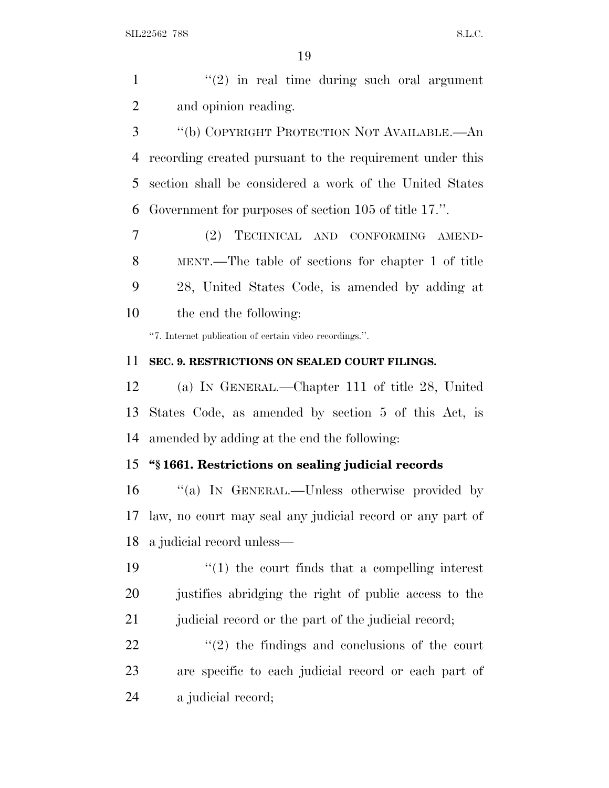$\mathcal{L}(2)$  in real time during such oral argument and opinion reading.

 ''(b) COPYRIGHT PROTECTION NOT AVAILABLE.—An recording created pursuant to the requirement under this section shall be considered a work of the United States Government for purposes of section 105 of title 17.''.

 (2) TECHNICAL AND CONFORMING AMEND- MENT.—The table of sections for chapter 1 of title 28, United States Code, is amended by adding at the end the following:

''7. Internet publication of certain video recordings.''.

#### **SEC. 9. RESTRICTIONS ON SEALED COURT FILINGS.**

 (a) I<sup>N</sup> GENERAL.—Chapter 111 of title 28, United States Code, as amended by section 5 of this Act, is amended by adding at the end the following:

# **''§ 1661. Restrictions on sealing judicial records**

 ''(a) I<sup>N</sup> GENERAL.—Unless otherwise provided by law, no court may seal any judicial record or any part of a judicial record unless—

 ''(1) the court finds that a compelling interest justifies abridging the right of public access to the 21 judicial record or the part of the judicial record;

  $\qquad$   $\qquad$   $(2)$  the findings and conclusions of the court are specific to each judicial record or each part of a judicial record;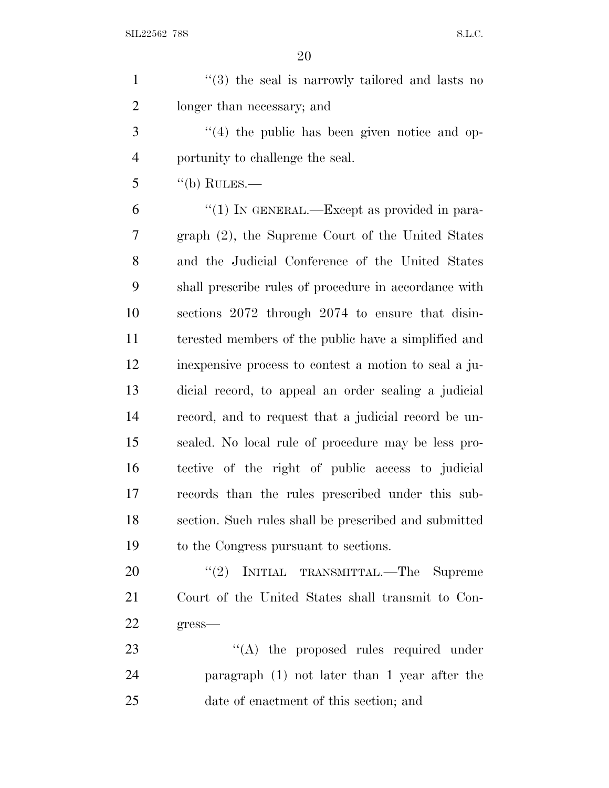| $\mathbf{1}$   | $(3)$ the seal is narrowly tailored and lasts no       |
|----------------|--------------------------------------------------------|
| $\overline{2}$ | longer than necessary; and                             |
| 3              | $(4)$ the public has been given notice and op-         |
| $\overline{4}$ | portunity to challenge the seal.                       |
| 5              | $\lq\lq(b)$ RULES.—                                    |
| 6              | "(1) IN GENERAL.—Except as provided in para-           |
| 7              | graph (2), the Supreme Court of the United States      |
| 8              | and the Judicial Conference of the United States       |
| 9              | shall prescribe rules of procedure in accordance with  |
| 10             | sections 2072 through 2074 to ensure that disin-       |
| 11             | terested members of the public have a simplified and   |
| 12             | in expensive process to contest a motion to seal a ju- |
| 13             | dicial record, to appeal an order sealing a judicial   |
| 14             | record, and to request that a judicial record be un-   |
| 15             | sealed. No local rule of procedure may be less pro-    |
| 16             | tective of the right of public access to judicial      |
| 17             | records than the rules prescribed under this sub-      |
| 18             | section. Such rules shall be prescribed and submitted  |
| 19             | to the Congress pursuant to sections.                  |
| 20             | "(2) INITIAL TRANSMITTAL.—The Supreme                  |
| 21             | Court of the United States shall transmit to Con-      |
| 22             | $gress$ —                                              |
| 23             | "(A) the proposed rules required under                 |
| 24             | paragraph (1) not later than 1 year after the          |
| 25             | date of enactment of this section; and                 |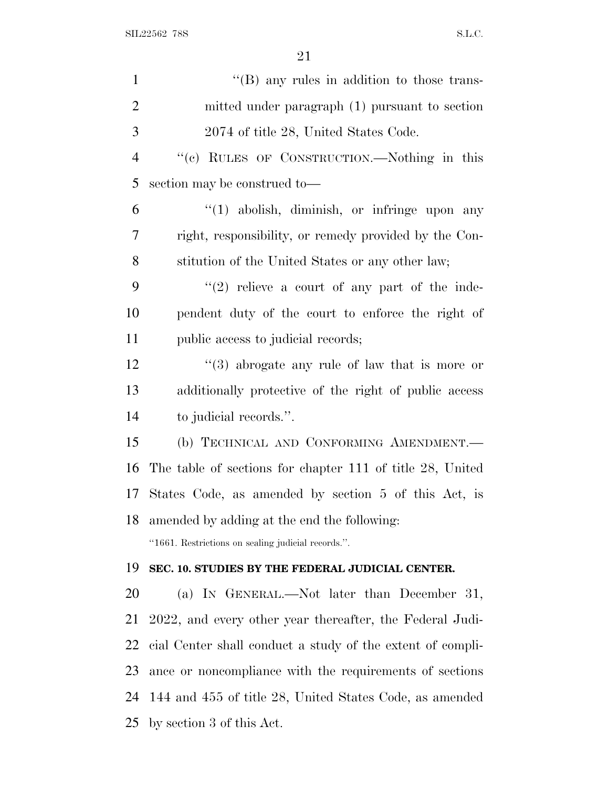| $\mathbf{1}$   | $\lq\lq$ (B) any rules in addition to those trans-            |
|----------------|---------------------------------------------------------------|
| $\overline{2}$ | mitted under paragraph (1) pursuant to section                |
| 3              | 2074 of title 28, United States Code.                         |
| $\overline{4}$ | "(c) RULES OF CONSTRUCTION.—Nothing in this                   |
| 5              | section may be construed to-                                  |
| 6              | $\lq(1)$ abolish, diminish, or infringe upon any              |
| 7              | right, responsibility, or remedy provided by the Con-         |
| 8              | stitution of the United States or any other law;              |
| 9              | $"(2)$ relieve a court of any part of the inde-               |
| 10             | pendent duty of the court to enforce the right of             |
| 11             | public access to judicial records;                            |
| 12             | $\cdot\cdot\cdot(3)$ abrogate any rule of law that is more or |
| 13             | additionally protective of the right of public access         |
| 14             | to judicial records.".                                        |
| 15             | (b) TECHNICAL AND CONFORMING AMENDMENT.-                      |
| 16             | The table of sections for chapter 111 of title 28, United     |
| 17             | States Code, as amended by section 5 of this Act, is          |
| 18             | amended by adding at the end the following:                   |
|                | "1661. Restrictions on sealing judicial records.".            |
| 19             | SEC. 10. STUDIES BY THE FEDERAL JUDICIAL CENTER.              |
| 20             | (a) IN GENERAL.—Not later than December 31,                   |
| 21             | 2022, and every other year thereafter, the Federal Judi-      |
| 22             | cial Center shall conduct a study of the extent of compli-    |
| 23             | ance or noncompliance with the requirements of sections       |
| 24             | 144 and 455 of title 28, United States Code, as amended       |
| 25             | by section 3 of this Act.                                     |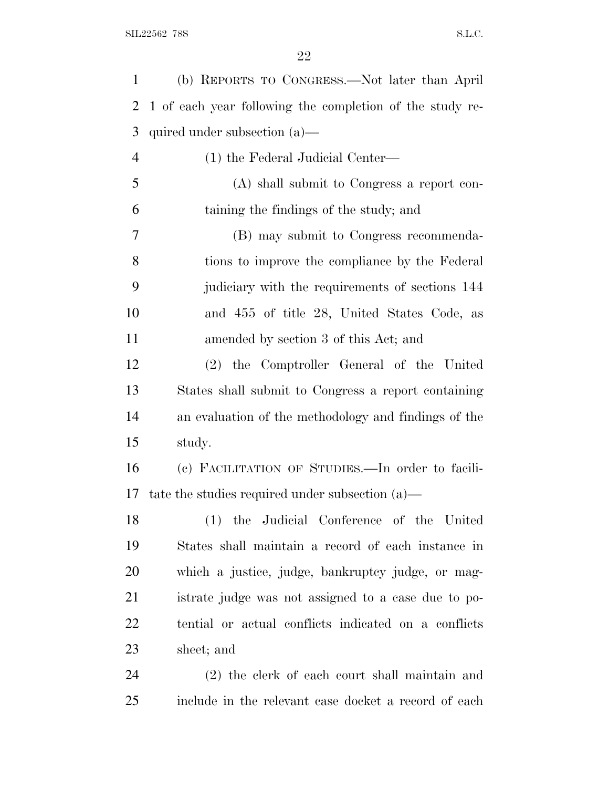| 1              | (b) REPORTS TO CONGRESS.-Not later than April            |
|----------------|----------------------------------------------------------|
| 2              | 1 of each year following the completion of the study re- |
| 3              | quired under subsection (a)—                             |
| $\overline{4}$ | (1) the Federal Judicial Center—                         |
| 5              | (A) shall submit to Congress a report con-               |
| 6              | taining the findings of the study; and                   |
| 7              | (B) may submit to Congress recommenda-                   |
| 8              | tions to improve the compliance by the Federal           |
| 9              | judiciary with the requirements of sections 144          |
| 10             | and 455 of title 28, United States Code, as              |
| 11             | amended by section 3 of this Act; and                    |
| 12             | (2) the Comptroller General of the United                |
| 13             | States shall submit to Congress a report containing      |
| 14             | an evaluation of the methodology and findings of the     |
| 15             | study.                                                   |
| 16             | (c) FACILITATION OF STUDIES. In order to facili-         |
| 17             | tate the studies required under subsection $(a)$ —       |
| 18             | (1) the Judicial Conference of the United                |
| 19             | States shall maintain a record of each instance in       |
| 20             | which a justice, judge, bankruptcy judge, or mag-        |
| 21             | istrate judge was not assigned to a case due to po-      |
| 22             | tential or actual conflicts indicated on a conflicts     |
| 23             | sheet; and                                               |
| 24             | (2) the clerk of each court shall maintain and           |
| 25             | include in the relevant case docket a record of each     |